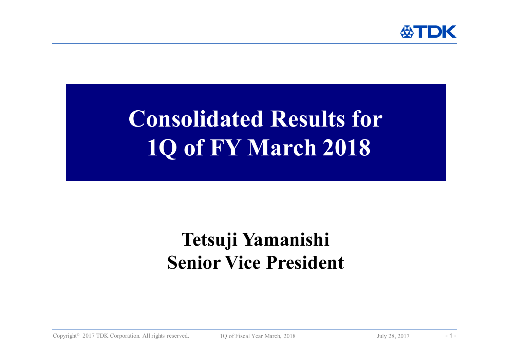

# **Consolidated Results for 1Q of FY March 2018**

## **Tetsuji Yamanishi Senior Vice President**

Copyright<sup>©</sup> 2017 TDK Corporation. All rights reserved. 1Q of Fiscal Year March, 2018 July 28, 2017 -1 -1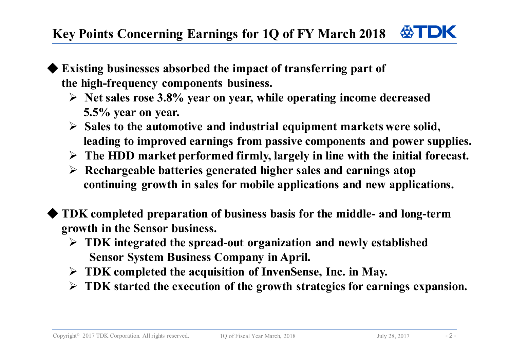- **Existing businesses absorbed the impact of transferring part of the high-frequency components business.**
	- **Net sales rose 3.8% year on year, while operating income decreased 5.5% year on year.**
	- **Sales to the automotive and industrial equipment markets were solid, leading to improved earnings from passive components and power supplies.**
	- **The HDD market performed firmly, largely in line with the initial forecast.**
	- **Rechargeable batteries generated higher sales and earnings atop continuing growth in sales for mobile applications and new applications.**
- ◆ **TDK completed preparation of business basis for the middle- and long-term growth in the Sensor business.**
	- **TDK integrated the spread-out organization and newly established Sensor System Business Company in April.**
	- **TDK completed the acquisition of InvenSense, Inc. in May.**
	- **TDK started the execution of the growth strategies for earnings expansion.**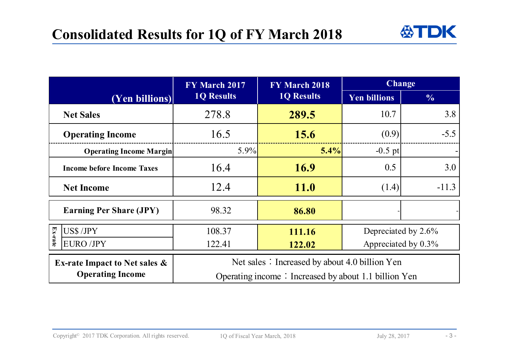

|                                          | FY March 2017                                        | FY March 2018     | <b>Change</b>       |               |  |
|------------------------------------------|------------------------------------------------------|-------------------|---------------------|---------------|--|
| (Yen billions)                           | <b>1Q Results</b>                                    | <b>1Q Results</b> | <b>Yen billions</b> | $\frac{0}{0}$ |  |
| <b>Net Sales</b>                         | 278.8                                                | 289.5             | 10.7                | 3.8           |  |
| <b>Operating Income</b>                  | 16.5                                                 | 15.6              | (0.9)               | $-5.5$        |  |
| <b>Operating Income Margin</b>           | $5.9\%$                                              | 5.4%              | $-0.5$ pt           |               |  |
| <b>Income before Income Taxes</b>        | 16.4                                                 | <b>16.9</b>       | 0.5                 | 3.0           |  |
| <b>Net Income</b>                        | 12.4                                                 | <b>11.0</b>       | (1.4)               | $-11.3$       |  |
| <b>Earning Per Share (JPY)</b>           | 98.32                                                | 86.80             |                     |               |  |
| $E_{X-}$<br>US\$ /JPY                    | 108.37                                               | 111.16            | Depreciated by 2.6% |               |  |
| rate<br><b>EURO /JPY</b>                 | 122.41                                               | 122.02            | Appreciated by 0.3% |               |  |
| <b>Ex-rate Impact to Net sales &amp;</b> | Net sales: Increased by about 4.0 billion Yen        |                   |                     |               |  |
| <b>Operating Income</b>                  | Operating income: Increased by about 1.1 billion Yen |                   |                     |               |  |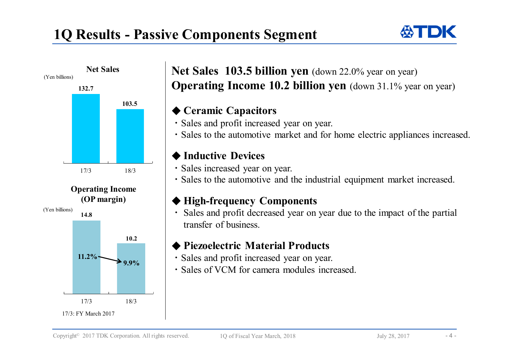



### **Net Sales 103.5 billion yen** (down 22.0% year on year) **Operating Income 10.2 billion yen** (down 31.1% year on year)

#### ◆ **Ceramic Capacitors**

- ・Sales and profit increased year on year.
- ・Sales to the automotive market and for home electric appliances increased.

#### ◆ **Inductive Devices**

- ・Sales increased year on year.
- ・Sales to the automotive and the industrial equipment market increased.

### ◆ **High-frequency Components**

・ Sales and profit decreased year on year due to the impact of the partial transfer of business.

#### ◆ **Piezoelectric Material Products**

- ・Sales and profit increased year on year.
- ・Sales of VCM for camera modules increased.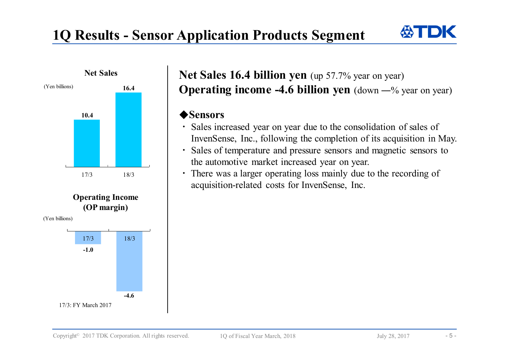### **1Q Results - Sensor Application Products Segment**





### **Net Sales 16.4 billion yen** (up 57.7% year on year) **Operating income -4.6 billion yen** (down —% year on year)

#### ◆**Sensors**

- ・ Sales increased year on year due to the consolidation of sales of InvenSense, Inc., following the completion of its acquisition in May.
- ・ Sales of temperature and pressure sensors and magnetic sensors to the automotive market increased year on year.
- ・ There was <sup>a</sup> larger operating loss mainly due to the recording of acquisition-related costs for InvenSense, Inc.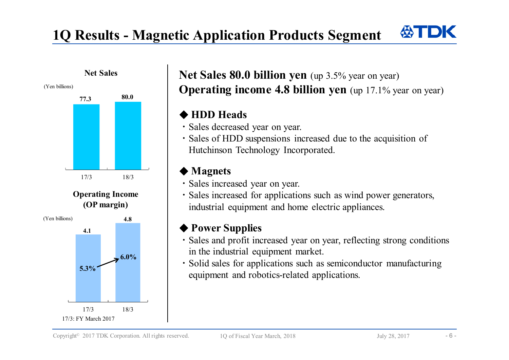### **1Q Results - Magnetic Application Products Segment**



### Net Sales 80.0 billion yen (up 3.5% year on year) **Operating income 4.8 billion yen** (up 17.1% year on year)

### ◆ **HDD Heads**

- ・Sales decreased year on year.
- ・Sales of HDD suspensions increased due to the acquisition of Hutchinson Technology Incorporated.

### ◆ **Magnets**

- ・Sales increased year on year.
- ・Sales increased for applications such as wind power generators, industrial equipment and home electric appliances.

### ◆ **Power** Supplies

- ・Sales and profit increased year on year, reflecting strong conditions in the industrial equipment market.
- ・Solid sales for applications such as semiconductor manufacturing equipment and robotics-related applications.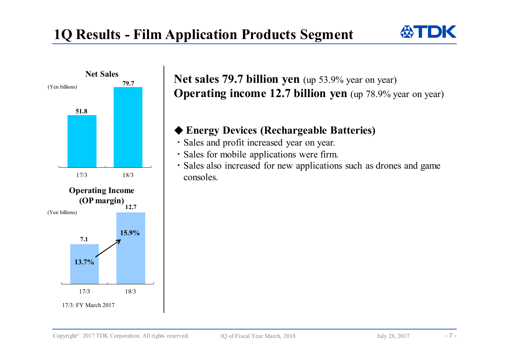



### **Net sales 79.7 billion yen** (up 53.9% year on year) **Operating income 12.7 billion yen** (up 78.9% year on year)

### ◆ **Energy Devices (Rechargeable Batteries)**

- ・Sales and profit increased year on year.
- ・Sales for mobile applications were firm.
- ・Sales also increased for new applications such as drones and game consoles.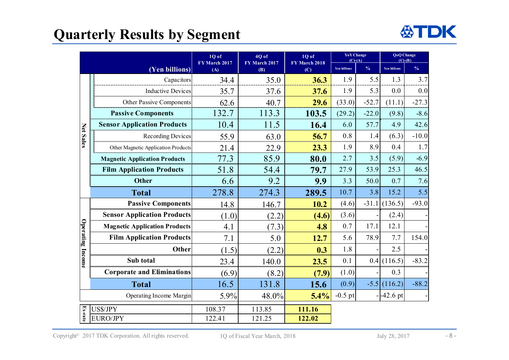### **Quarterly Results by Segment**



|                  |                                      | 4Q of<br>1Q of<br>FY March 2017 | 1Q of<br>FY March 2018 | <b>YoY</b> Change<br>$(C)$ - $(A)$ |                     | <b>QoQ</b> Change<br>$(C)-(B)$ |                     |               |
|------------------|--------------------------------------|---------------------------------|------------------------|------------------------------------|---------------------|--------------------------------|---------------------|---------------|
|                  | (Yen billions)                       | (A)                             | FY March 2017<br>(B)   | (C)                                | <b>Yen billions</b> | $\frac{0}{6}$                  | <b>Yen billions</b> | $\frac{0}{6}$ |
| <b>Net Sales</b> | Capacitors                           | 34.4                            | 35.0                   | 36.3                               | 1.9                 | 5.5                            | 1.3                 | 3.7           |
|                  | <b>Inductive Devices</b>             | 35.7                            | 37.6                   | 37.6                               | 1.9                 | 5.3                            | 0.0                 | 0.0           |
|                  | <b>Other Passive Components</b>      | 62.6                            | 40.7                   | 29.6                               | (33.0)              | $-52.7$                        | (11.1)              | $-27.3$       |
|                  | <b>Passive Components</b>            | 132.7                           | 113.3                  | 103.5                              | (29.2)              | $-22.0$                        | (9.8)               | $-8.6$        |
|                  | <b>Sensor Application Products</b>   | 10.4                            | 11.5                   | 16.4                               | 6.0                 | 57.7                           | 4.9                 | 42.6          |
|                  | <b>Recording Devices</b>             | 55.9                            | 63.0                   | 56.7                               | 0.8                 | 1.4                            | (6.3)               | $-10.0$       |
|                  | Other Magnetic Application Products  | 21.4                            | 22.9                   | 23.3                               | 1.9                 | 8.9                            | 0.4                 | 1.7           |
|                  | <b>Magnetic Application Products</b> | 77.3                            | 85.9                   | 80.0                               | 2.7                 | 3.5                            | (5.9)               | $-6.9$        |
|                  | <b>Film Application Products</b>     | 51.8                            | 54.4                   | 79.7                               | 27.9                | 53.9                           | 25.3                | 46.5          |
|                  | <b>Other</b>                         | 6.6                             | 9.2                    | 9.9                                | 3.3                 | 50.0                           | 0.7                 | 7.6           |
|                  | <b>Total</b>                         | 278.8                           | 274.3                  | 289.5                              | 10.7                | 3.8                            | 15.2                | 5.5           |
| Operating Income | <b>Passive Components</b>            | 14.8                            | 146.7                  | 10.2                               | (4.6)               | $-31.1$                        | (136.5)             | $-93.0$       |
|                  | <b>Sensor Application Products</b>   | (1.0)                           | (2.2)                  | (4.6)                              | (3.6)               |                                | (2.4)               |               |
|                  | <b>Magnetic Application Products</b> | 4.1                             | (7.3)                  | 4.8                                | 0.7                 | 17.1                           | 12.1                |               |
|                  | <b>Film Application Products</b>     | 7.1                             | 5.0                    | 12.7                               | 5.6                 | 78.9                           | 7.7                 | 154.0         |
|                  | Other                                | (1.5)                           | (2.2)                  | 0.3                                | 1.8                 |                                | 2.5                 |               |
|                  | Sub total                            | 23.4                            | 140.0                  | 23.5                               | 0.1                 |                                | 0.4(116.5)          | $-83.2$       |
|                  | <b>Corporate and Eliminations</b>    | (6.9)                           | (8.2)                  | (7.9)                              | (1.0)               |                                | 0.3                 |               |
|                  | <b>Total</b>                         | 16.5                            | 131.8                  | 15.6                               | (0.9)               |                                | $-5.5$ (116.2)      | $-88.2$       |
|                  | <b>Operating Income Margin</b>       | 5.9%                            | 48.0%                  | 5.4%                               | $-0.5$ pt           |                                | $-42.6 \text{ pt}$  |               |
|                  | US\$/JPY                             | 108.37                          | 113.85                 | 111.16                             |                     |                                |                     |               |
| Ex-rate          | <b>EURO/JPY</b>                      | 122.41                          | 121.25                 | 122.02                             |                     |                                |                     |               |

Copyright<sup>©</sup> 2017 TDK Corporation. All rights reserved. 1Q of Fiscal Year March, 2018 July 28, 2017 - 8 -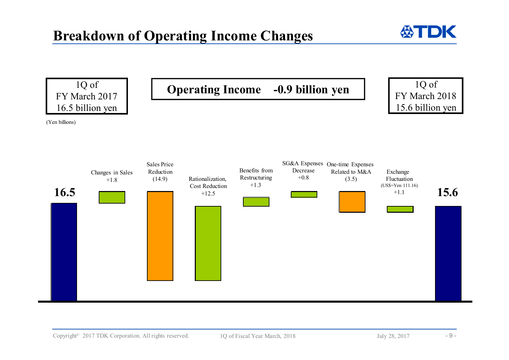

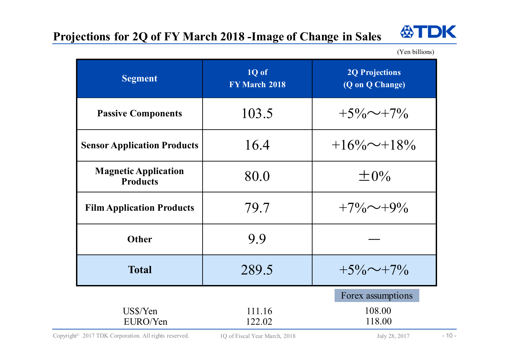### **Projections for 2Q of FY March 2018 -Image of Change in Sales**



(Yen billions)

| <b>Segment</b>                                 | 1Q of<br><b>FY March 2018</b> | <b>2Q Projections</b><br>(Q on Q Change) |  |  |
|------------------------------------------------|-------------------------------|------------------------------------------|--|--|
| <b>Passive Components</b>                      | 103.5                         | $+5\% \sim +7\%$                         |  |  |
| <b>Sensor Application Products</b>             | 16.4                          | $+16\% \sim +18\%$                       |  |  |
| <b>Magnetic Application</b><br><b>Products</b> | 80.0                          | $\pm 0\%$                                |  |  |
| <b>Film Application Products</b>               | 79.7                          | $+7\% \sim +9\%$                         |  |  |
| <b>Other</b>                                   | 9.9                           |                                          |  |  |
| <b>Total</b>                                   | 289.5                         | $+5\% \sim +7\%$                         |  |  |
|                                                |                               | Forex assumptions                        |  |  |
| US\$/Yen<br>EURO/Yen                           | 111.16<br>122.02              | 108.00<br>118.00                         |  |  |

Copyright<sup>©</sup> 2017 TDK Corporation. All rights reserved. 1Q of Fiscal Year March, 2018 July 28, 2017 - 10 -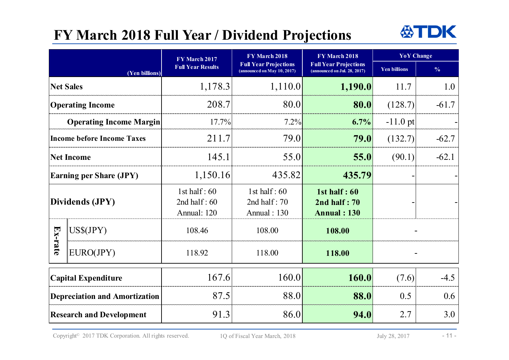### **FY March 2018 Full Year / Dividend Projections**



|                                   |                                      | FY March 2017                                   | FY March 2018                                               | FY March 2018                                                 | <b>YoY</b> Change   |               |
|-----------------------------------|--------------------------------------|-------------------------------------------------|-------------------------------------------------------------|---------------------------------------------------------------|---------------------|---------------|
| (Yen billions)                    |                                      | <b>Full Year Results</b>                        | <b>Full Year Projections</b><br>(announced on May 10, 2017) | <b>Full Year Projections</b><br>(announceed on Jul. 28, 2017) | <b>Yen billions</b> | $\frac{0}{0}$ |
|                                   | <b>Net Sales</b>                     | 1,178.3                                         | 1,110.0                                                     | 1,190.0                                                       | 11.7                | 1.0           |
| <b>Operating Income</b>           |                                      | 208.7                                           | 80.0                                                        | 80.0                                                          | (128.7)             | $-61.7$       |
| <b>Operating Income Margin</b>    |                                      | 17.7%                                           | 7.2%                                                        | 6.7%                                                          | $-11.0$ pt          |               |
| <b>Income before Income Taxes</b> |                                      | 211.7                                           | 79.0                                                        | 79.0                                                          | (132.7)             | $-62.7$       |
| <b>Net Income</b>                 |                                      | 145.1                                           | 55.0                                                        | 55.0                                                          | (90.1)              | $-62.1$       |
|                                   | <b>Earning per Share (JPY)</b>       | 1,150.16                                        | 435.82                                                      | 435.79                                                        |                     |               |
| Dividends (JPY)                   |                                      | 1st half: $60$<br>2nd half: $60$<br>Annual: 120 | 1st half: $60$<br>2nd half: $70$<br><b>Annual: 130</b>      | 1st half $:60$<br>$2nd$ half : 70<br><b>Annual: 130</b>       |                     |               |
|                                   | US\$(JPY)                            | 108.46                                          | 108.00                                                      | 108.00                                                        |                     |               |
| $Ex$ -rate                        | EURO(JPY)                            | 118.92                                          | 118.00                                                      | 118.00                                                        |                     |               |
|                                   | <b>Capital Expenditure</b>           | 167.6                                           | 160.0                                                       | 160.0                                                         | (7.6)               | $-4.5$        |
|                                   | <b>Depreciation and Amortization</b> | 87.5                                            | 88.0                                                        | 88.0                                                          | 0.5                 | 0.6           |
| <b>Research and Development</b>   |                                      | 91.3                                            | 86.0                                                        | 94.0                                                          | 2.7                 | 3.0           |

Copyright<sup>®</sup> 2017 TDK Corporation. All rights reserved. 1Q of Fiscal Year March, 2018 July 28, 2017 - 11 -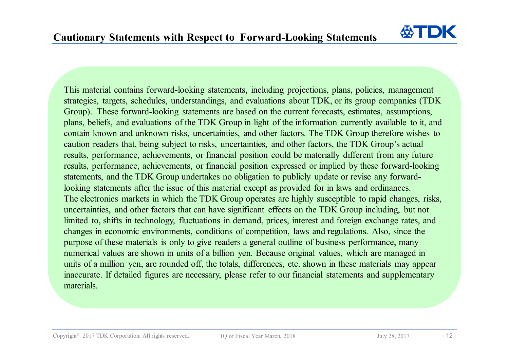

This material contains forward-looking statements, including projections, plans, policies, management strategies, targets, schedules, understandings, and evaluations about TDK, or its group companies (TDK Group). These forward-looking statements are based on the current forecasts, estimates, assumptions, plans, beliefs, and evaluations of the TDK Group in light of the information currently available to it, and contain known and unknown risks, uncertainties, and other factors. The TDK Group therefore wishes to caution readers that, being subject to risks, uncertainties, and other factors, the TDK Group's actual results, performance, achievements, or financial position could be materially different from any future results, performance, achievements, or financial position expressed or implied by these forward-looking statements, and the TDK Group undertakes no obligation to publicly update or revise any forwardlooking statements after the issue of this material except as provided for in laws and ordinances. The electronics markets in which the TDK Group operates are highly susceptible to rapid changes, risks, uncertainties, and other factors that can have significant effects on the TDK Group including, but not limited to, shifts in technology, fluctuations in demand, prices, interest and foreign exchange rates, and changes in economic environments, conditions of competition, laws and regulations. Also, since the purpose of these materials is only to give readers a general outline of business performance, many numerical values are shown in units of a billion yen. Because original values, which are managed in units of a million yen, are rounded off, the totals, differences, etc. shown in these materials may appear inaccurate. If detailed figures are necessary, please refer to our financial statements and supplementary materials.